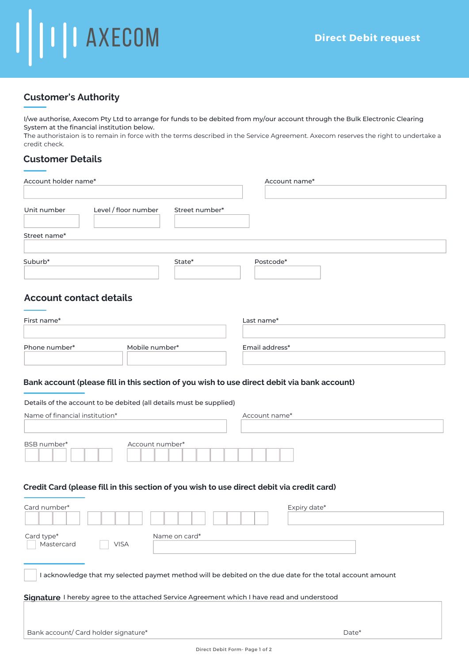# I II I AXECOM

# **Customer's Authority**

I/we authorise, Axecom Pty Ltd to arrange for funds to be debited from my/our account through the Bulk Electronic Clearing System at the financial institution below.

The authoristaion is to remain in force with the terms described in the Service Agreement. Axecom reserves the right to undertake a credit check.

## **Customer Details**

| Account holder name*                                                                                      |                                        | Account name*                                                                                                |  |
|-----------------------------------------------------------------------------------------------------------|----------------------------------------|--------------------------------------------------------------------------------------------------------------|--|
|                                                                                                           |                                        |                                                                                                              |  |
| Unit number                                                                                               | Level / floor number<br>Street number* |                                                                                                              |  |
| Street name*                                                                                              |                                        |                                                                                                              |  |
| Suburb*                                                                                                   | State*                                 | Postcode*                                                                                                    |  |
| <b>Account contact details</b>                                                                            |                                        |                                                                                                              |  |
| First name*                                                                                               |                                        | Last name*                                                                                                   |  |
| Phone number*                                                                                             | Mobile number*                         | Email address*                                                                                               |  |
| Details of the account to be debited (all details must be supplied)<br>Name of financial institution*     |                                        | Bank account (please fill in this section of you wish to use direct debit via bank account)<br>Account name* |  |
| BSB number*                                                                                               | Account number*                        |                                                                                                              |  |
|                                                                                                           |                                        | Credit Card (please fill in this section of you wish to use direct debit via credit card)                    |  |
| Card number*                                                                                              |                                        | Expiry date*                                                                                                 |  |
| Card type*<br>Mastercard                                                                                  | Name on card*<br><b>VISA</b>           |                                                                                                              |  |
| I acknowledge that my selected paymet method will be debited on the due date for the total account amount |                                        |                                                                                                              |  |
|                                                                                                           |                                        | Signature I hereby agree to the attached Service Agreement which I have read and understood                  |  |
| Bank account/ Card holder signature*                                                                      |                                        | Date*                                                                                                        |  |